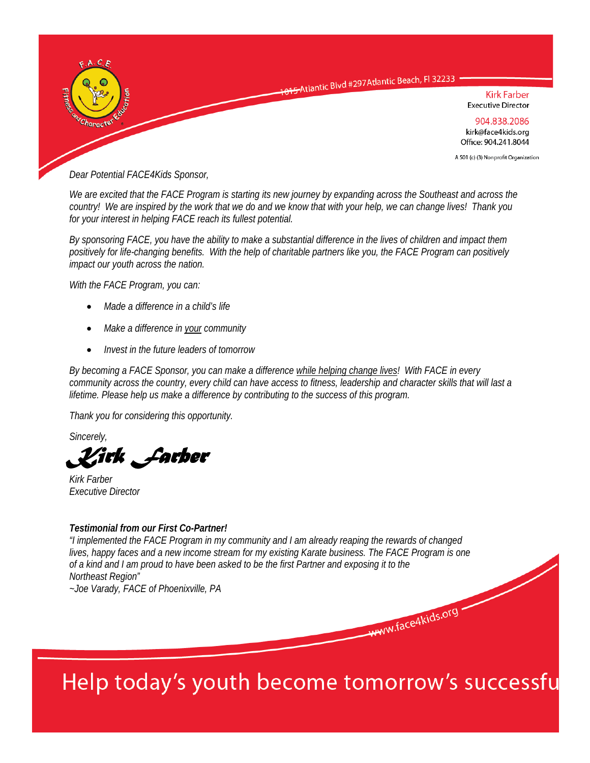

*Dear Potential FACE4Kids Sponsor,* 

*We are excited that the FACE Program is starting its new journey by expanding across the Southeast and across the country! We are inspired by the work that we do and we know that with your help, we can change lives! Thank you for your interest in helping FACE reach its fullest potential.* 

*By sponsoring FACE, you have the ability to make a substantial difference in the lives of children and impact them positively for life-changing benefits. With the help of charitable partners like you, the FACE Program can positively impact our youth across the nation.* 

*With the FACE Program, you can:* 

- *Made a difference in a child's life*
- *Make a difference in your community*
- *Invest in the future leaders of tomorrow*

*By becoming a FACE Sponsor, you can make a difference while helping change lives! With FACE in every community across the country, every child can have access to fitness, leadership and character skills that will last a lifetime. Please help us make a difference by contributing to the success of this program.* 

*Thank you for considering this opportunity.* 

*Sincerely,* 

*Kirk Farber* 

*Kirk Farber Executive Director* 

#### *Testimonial from our First Co-Partner!*

*"I implemented the FACE Program in my community and I am already reaping the rewards of changed lives, happy faces and a new income stream for my existing Karate business. The FACE Program is one of a kind and I am proud to have been asked to be the first Partner and exposing it to the Northeast Region" ~Joe Varady, FACE of Phoenixville, PA* 

# Help today's youth become tomorrow's successfu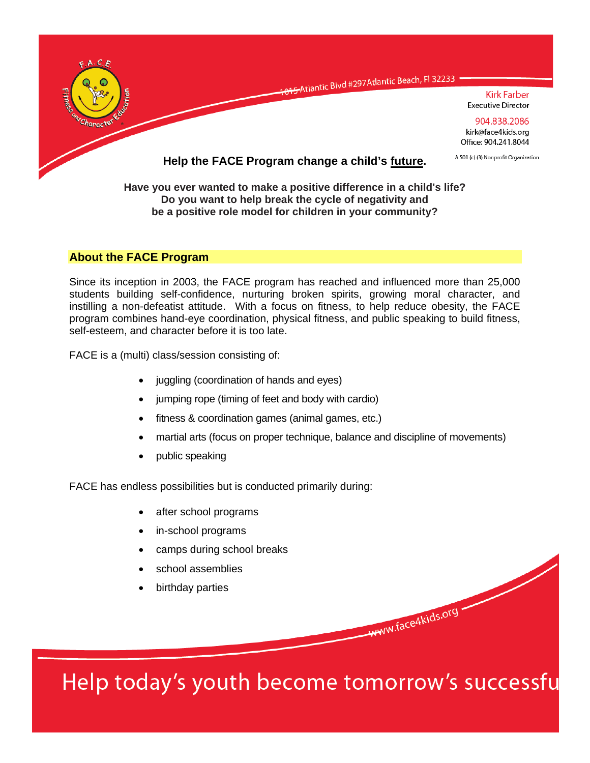

**Do you want to help break the cycle of negativity and be a positive role model for children in your community?** 

# **About the FACE Program**

Since its inception in 2003, the FACE program has reached and influenced more than 25,000 students building self-confidence, nurturing broken spirits, growing moral character, and instilling a non-defeatist attitude. With a focus on fitness, to help reduce obesity, the FACE program combines hand-eye coordination, physical fitness, and public speaking to build fitness, self-esteem, and character before it is too late.

FACE is a (multi) class/session consisting of:

- juggling (coordination of hands and eyes)
- jumping rope (timing of feet and body with cardio)
- fitness & coordination games (animal games, etc.)
- martial arts (focus on proper technique, balance and discipline of movements)
- public speaking

FACE has endless possibilities but is conducted primarily during:

- after school programs
- in-school programs
- camps during school breaks
- school assemblies
- birthday parties

Help today's youth become tomorrow's successfu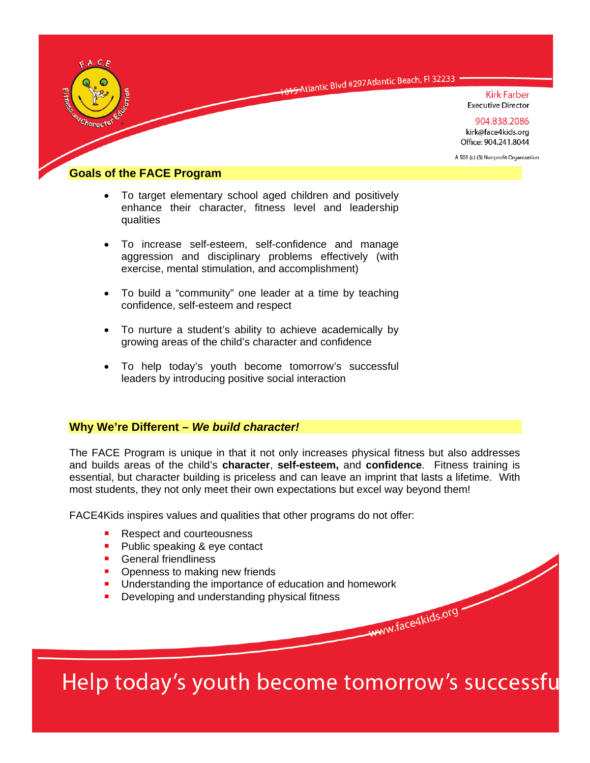

O15-Atlantic Blvd #297 Atlantic Beach, Fl 32233

**Kirk Farber Executive Director** 

904.838.2086 kirk@face4kids.org Office: 904.241.8044

A 501 (c) (3) Nonprofit Organization

### **Goals of the FACE Program**

- To target elementary school aged children and positively enhance their character, fitness level and leadership qualities
- To increase self-esteem, self-confidence and manage aggression and disciplinary problems effectively (with exercise, mental stimulation, and accomplishment)
- To build a "community" one leader at a time by teaching confidence, self-esteem and respect
- To nurture a student's ability to achieve academically by growing areas of the child's character and confidence
- To help today's youth become tomorrow's successful leaders by introducing positive social interaction

#### **Why We're Different –** *We build character!*

The FACE Program is unique in that it not only increases physical fitness but also addresses and builds areas of the child's **character**, **self-esteem,** and **confidence**. Fitness training is essential, but character building is priceless and can leave an imprint that lasts a lifetime. With most students, they not only meet their own expectations but excel way beyond them!

FACE4Kids inspires values and qualities that other programs do not offer:

- Respect and courteousness
- **Public speaking & eye contact**
- **General friendliness**
- Openness to making new friends
- **Understanding the importance of education and homework**
- Developing and understanding physical fitness

Help today's youth become tomorrow's successfu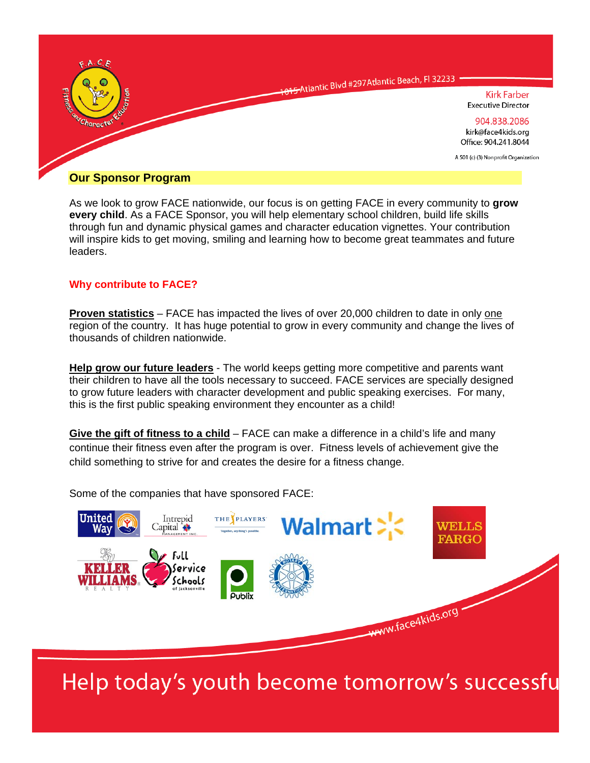

As we look to grow FACE nationwide, our focus is on getting FACE in every community to **grow every child**. As a FACE Sponsor, you will help elementary school children, build life skills through fun and dynamic physical games and character education vignettes. Your contribution will inspire kids to get moving, smiling and learning how to become great teammates and future leaders.

## **Why contribute to FACE?**

**Proven statistics** – FACE has impacted the lives of over 20,000 children to date in only one region of the country. It has huge potential to grow in every community and change the lives of thousands of children nationwide.

**Help grow our future leaders** - The world keeps getting more competitive and parents want their children to have all the tools necessary to succeed. FACE services are specially designed to grow future leaders with character development and public speaking exercises. For many, this is the first public speaking environment they encounter as a child!

**Give the gift of fitness to a child** – FACE can make a difference in a child's life and many continue their fitness even after the program is over. Fitness levels of achievement give the child something to strive for and creates the desire for a fitness change.

Some of the companies that have sponsored FACE:



Help today's youth become tomorrow's successfu